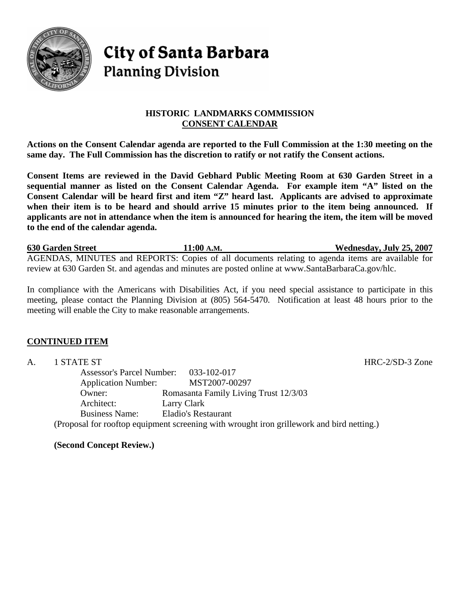

# **City of Santa Barbara Planning Division**

# **HISTORIC LANDMARKS COMMISSION CONSENT CALENDAR**

**Actions on the Consent Calendar agenda are reported to the Full Commission at the 1:30 meeting on the same day. The Full Commission has the discretion to ratify or not ratify the Consent actions.** 

**Consent Items are reviewed in the David Gebhard Public Meeting Room at 630 Garden Street in a sequential manner as listed on the Consent Calendar Agenda. For example item "A" listed on the Consent Calendar will be heard first and item "Z" heard last. Applicants are advised to approximate when their item is to be heard and should arrive 15 minutes prior to the item being announced. If applicants are not in attendance when the item is announced for hearing the item, the item will be moved to the end of the calendar agenda.** 

**630 Garden Street 11:00 A.M. Wednesday, July 25, 2007** AGENDAS, MINUTES and REPORTS: Copies of all documents relating to agenda items are available for review at 630 Garden St. and agendas and minutes are posted online at www.SantaBarbaraCa.gov/hlc.

In compliance with the Americans with Disabilities Act, if you need special assistance to participate in this meeting, please contact the Planning Division at (805) 564-5470. Notification at least 48 hours prior to the meeting will enable the City to make reasonable arrangements.

# **CONTINUED ITEM**

A. 1 STATE ST HRC-2/SD-3 Zone Assessor's Parcel Number: 033-102-017 Application Number: MST2007-00297 Owner: Romasanta Family Living Trust 12/3/03 Architect: Larry Clark Business Name: Eladio's Restaurant (Proposal for rooftop equipment screening with wrought iron grillework and bird netting.)

**(Second Concept Review.)**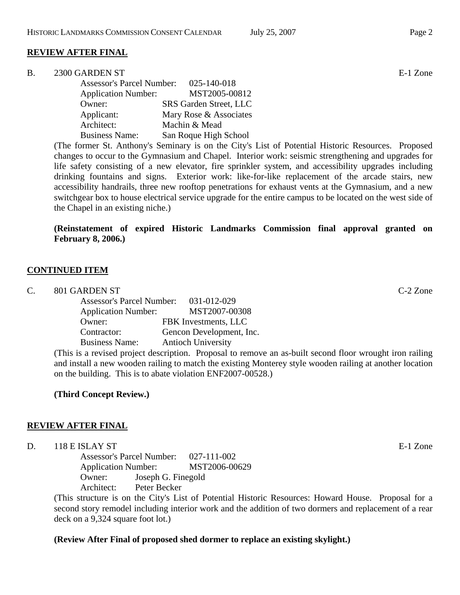# **REVIEW AFTER FINAL**

| 2300 GARDEN ST<br>B | E-1 Zone |
|---------------------|----------|
|---------------------|----------|

| <b>Assessor's Parcel Number:</b> | 025-140-018                   |
|----------------------------------|-------------------------------|
| <b>Application Number:</b>       | MST2005-00812                 |
| Owner:                           | <b>SRS</b> Garden Street, LLC |
| Applicant:                       | Mary Rose & Associates        |
| Architect:                       | Machin & Mead                 |
| <b>Business Name:</b>            | San Roque High School         |

(The former St. Anthony's Seminary is on the City's List of Potential Historic Resources. Proposed changes to occur to the Gymnasium and Chapel. Interior work: seismic strengthening and upgrades for life safety consisting of a new elevator, fire sprinkler system, and accessibility upgrades including drinking fountains and signs. Exterior work: like-for-like replacement of the arcade stairs, new accessibility handrails, three new rooftop penetrations for exhaust vents at the Gymnasium, and a new switchgear box to house electrical service upgrade for the entire campus to be located on the west side of the Chapel in an existing niche.)

# **(Reinstatement of expired Historic Landmarks Commission final approval granted on February 8, 2006.)**

#### **CONTINUED ITEM**

|  | 801 GARDEN ST | $C-2$ Zone |
|--|---------------|------------|
|--|---------------|------------|

| 031-012-029               |
|---------------------------|
| MST2007-00308             |
| FBK Investments, LLC      |
| Gencon Development, Inc.  |
| <b>Antioch University</b> |
|                           |

(This is a revised project description. Proposal to remove an as-built second floor wrought iron railing and install a new wooden railing to match the existing Monterey style wooden railing at another location on the building. This is to abate violation ENF2007-00528.)

#### **(Third Concept Review.)**

#### **REVIEW AFTER FINAL**

D. 118 E ISLAY ST E-1 Zone

 Assessor's Parcel Number: 027-111-002 Application Number: MST2006-00629 Owner: Joseph G. Finegold Architect: Peter Becker

(This structure is on the City's List of Potential Historic Resources: Howard House. Proposal for a second story remodel including interior work and the addition of two dormers and replacement of a rear deck on a 9,324 square foot lot.)

#### **(Review After Final of proposed shed dormer to replace an existing skylight.)**